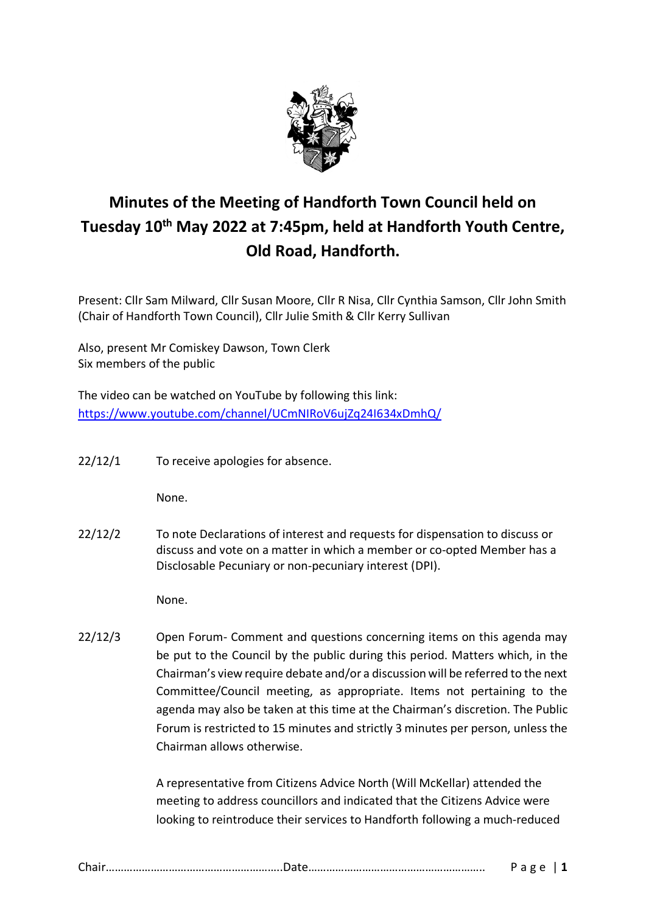

# **Minutes of the Meeting of Handforth Town Council held on Tuesday 10th May 2022 at 7:45pm, held at Handforth Youth Centre, Old Road, Handforth.**

Present: Cllr Sam Milward, Cllr Susan Moore, Cllr R Nisa, Cllr Cynthia Samson, Cllr John Smith (Chair of Handforth Town Council), Cllr Julie Smith & Cllr Kerry Sullivan

Also, present Mr Comiskey Dawson, Town Clerk Six members of the public

The video can be watched on YouTube by following this link: <https://www.youtube.com/channel/UCmNIRoV6ujZq24I634xDmhQ/>

22/12/1 To receive apologies for absence.

None.

22/12/2 To note Declarations of interest and requests for dispensation to discuss or discuss and vote on a matter in which a member or co-opted Member has a Disclosable Pecuniary or non-pecuniary interest (DPI).

None.

22/12/3 Open Forum- Comment and questions concerning items on this agenda may be put to the Council by the public during this period. Matters which, in the Chairman's view require debate and/or a discussion will be referred to the next Committee/Council meeting, as appropriate. Items not pertaining to the agenda may also be taken at this time at the Chairman's discretion. The Public Forum is restricted to 15 minutes and strictly 3 minutes per person, unless the Chairman allows otherwise.

> A representative from Citizens Advice North (Will McKellar) attended the meeting to address councillors and indicated that the Citizens Advice were looking to reintroduce their services to Handforth following a much-reduced

|--|--|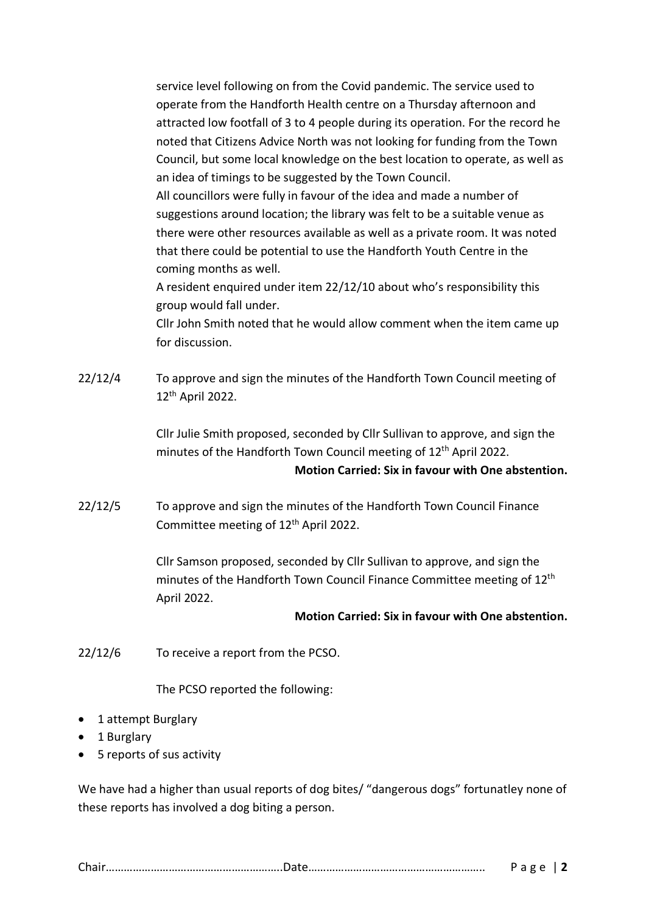service level following on from the Covid pandemic. The service used to operate from the Handforth Health centre on a Thursday afternoon and attracted low footfall of 3 to 4 people during its operation. For the record he noted that Citizens Advice North was not looking for funding from the Town Council, but some local knowledge on the best location to operate, as well as an idea of timings to be suggested by the Town Council.

All councillors were fully in favour of the idea and made a number of suggestions around location; the library was felt to be a suitable venue as there were other resources available as well as a private room. It was noted that there could be potential to use the Handforth Youth Centre in the coming months as well.

A resident enquired under item 22/12/10 about who's responsibility this group would fall under.

Cllr John Smith noted that he would allow comment when the item came up for discussion.

22/12/4 To approve and sign the minutes of the Handforth Town Council meeting of 12th April 2022.

> Cllr Julie Smith proposed, seconded by Cllr Sullivan to approve, and sign the minutes of the Handforth Town Council meeting of 12<sup>th</sup> April 2022.

## **Motion Carried: Six in favour with One abstention.**

22/12/5 To approve and sign the minutes of the Handforth Town Council Finance Committee meeting of 12<sup>th</sup> April 2022.

> Cllr Samson proposed, seconded by Cllr Sullivan to approve, and sign the minutes of the Handforth Town Council Finance Committee meeting of 12<sup>th</sup> April 2022.

#### **Motion Carried: Six in favour with One abstention.**

22/12/6 To receive a report from the PCSO.

The PCSO reported the following:

- 1 attempt Burglary
- 1 Burglary
- 5 reports of sus activity

We have had a higher than usual reports of dog bites/ "dangerous dogs" fortunatley none of these reports has involved a dog biting a person.

|--|--|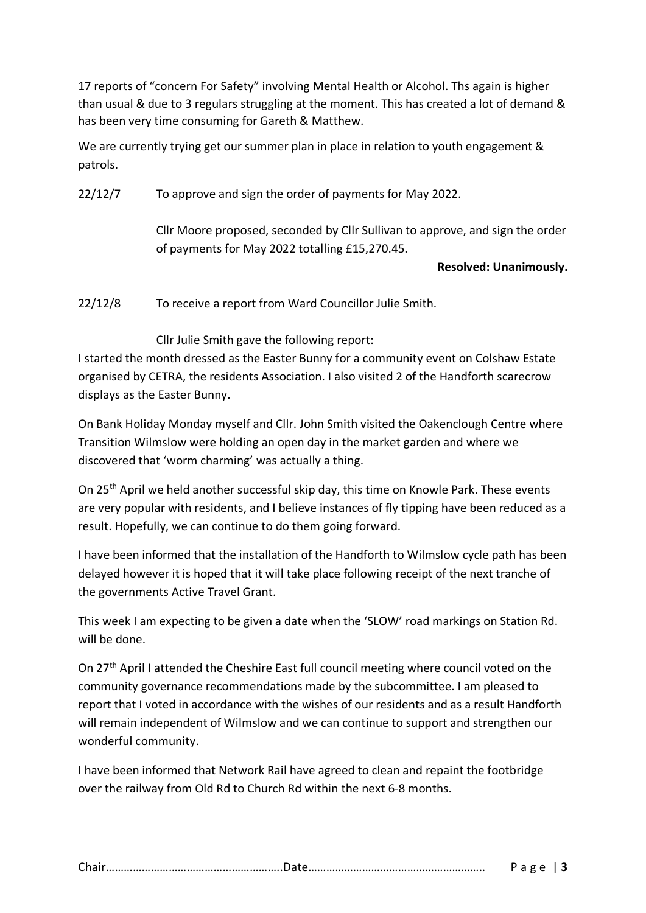17 reports of "concern For Safety" involving Mental Health or Alcohol. Ths again is higher than usual & due to 3 regulars struggling at the moment. This has created a lot of demand & has been very time consuming for Gareth & Matthew.

We are currently trying get our summer plan in place in relation to youth engagement & patrols.

22/12/7 To approve and sign the order of payments for May 2022.

Cllr Moore proposed, seconded by Cllr Sullivan to approve, and sign the order of payments for May 2022 totalling £15,270.45.

## **Resolved: Unanimously.**

22/12/8 To receive a report from Ward Councillor Julie Smith.

Cllr Julie Smith gave the following report:

I started the month dressed as the Easter Bunny for a community event on Colshaw Estate organised by CETRA, the residents Association. I also visited 2 of the Handforth scarecrow displays as the Easter Bunny.

On Bank Holiday Monday myself and Cllr. John Smith visited the Oakenclough Centre where Transition Wilmslow were holding an open day in the market garden and where we discovered that 'worm charming' was actually a thing.

On 25th April we held another successful skip day, this time on Knowle Park. These events are very popular with residents, and I believe instances of fly tipping have been reduced as a result. Hopefully, we can continue to do them going forward.

I have been informed that the installation of the Handforth to Wilmslow cycle path has been delayed however it is hoped that it will take place following receipt of the next tranche of the governments Active Travel Grant.

This week I am expecting to be given a date when the 'SLOW' road markings on Station Rd. will be done.

On 27th April I attended the Cheshire East full council meeting where council voted on the community governance recommendations made by the subcommittee. I am pleased to report that I voted in accordance with the wishes of our residents and as a result Handforth will remain independent of Wilmslow and we can continue to support and strengthen our wonderful community.

I have been informed that Network Rail have agreed to clean and repaint the footbridge over the railway from Old Rd to Church Rd within the next 6-8 months.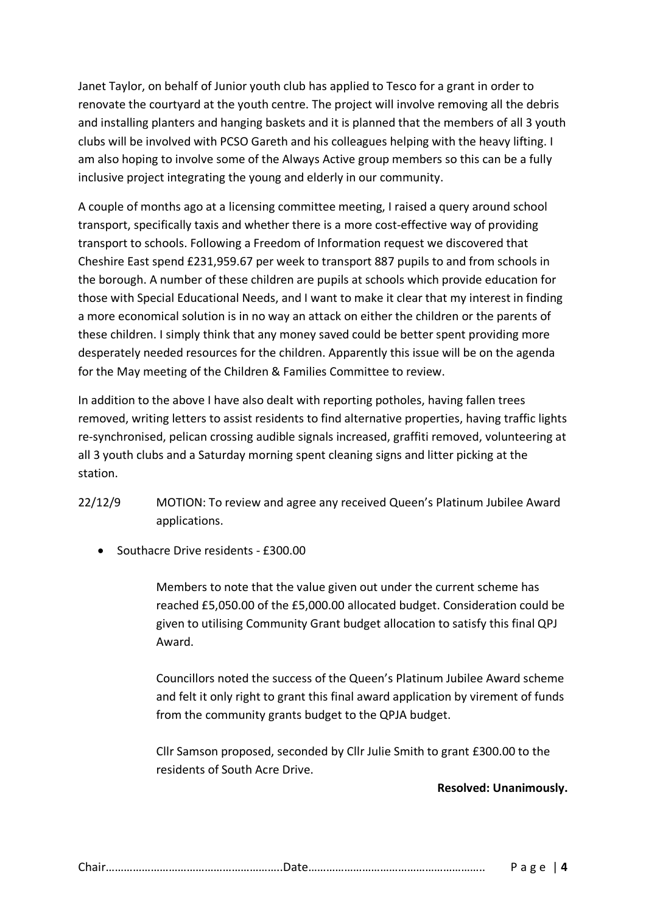Janet Taylor, on behalf of Junior youth club has applied to Tesco for a grant in order to renovate the courtyard at the youth centre. The project will involve removing all the debris and installing planters and hanging baskets and it is planned that the members of all 3 youth clubs will be involved with PCSO Gareth and his colleagues helping with the heavy lifting. I am also hoping to involve some of the Always Active group members so this can be a fully inclusive project integrating the young and elderly in our community.

A couple of months ago at a licensing committee meeting, I raised a query around school transport, specifically taxis and whether there is a more cost-effective way of providing transport to schools. Following a Freedom of Information request we discovered that Cheshire East spend £231,959.67 per week to transport 887 pupils to and from schools in the borough. A number of these children are pupils at schools which provide education for those with Special Educational Needs, and I want to make it clear that my interest in finding a more economical solution is in no way an attack on either the children or the parents of these children. I simply think that any money saved could be better spent providing more desperately needed resources for the children. Apparently this issue will be on the agenda for the May meeting of the Children & Families Committee to review.

In addition to the above I have also dealt with reporting potholes, having fallen trees removed, writing letters to assist residents to find alternative properties, having traffic lights re-synchronised, pelican crossing audible signals increased, graffiti removed, volunteering at all 3 youth clubs and a Saturday morning spent cleaning signs and litter picking at the station.

- 22/12/9 MOTION: To review and agree any received Queen's Platinum Jubilee Award applications.
	- Southacre Drive residents £300.00

Members to note that the value given out under the current scheme has reached £5,050.00 of the £5,000.00 allocated budget. Consideration could be given to utilising Community Grant budget allocation to satisfy this final QPJ Award.

Councillors noted the success of the Queen's Platinum Jubilee Award scheme and felt it only right to grant this final award application by virement of funds from the community grants budget to the QPJA budget.

Cllr Samson proposed, seconded by Cllr Julie Smith to grant £300.00 to the residents of South Acre Drive.

# **Resolved: Unanimously.**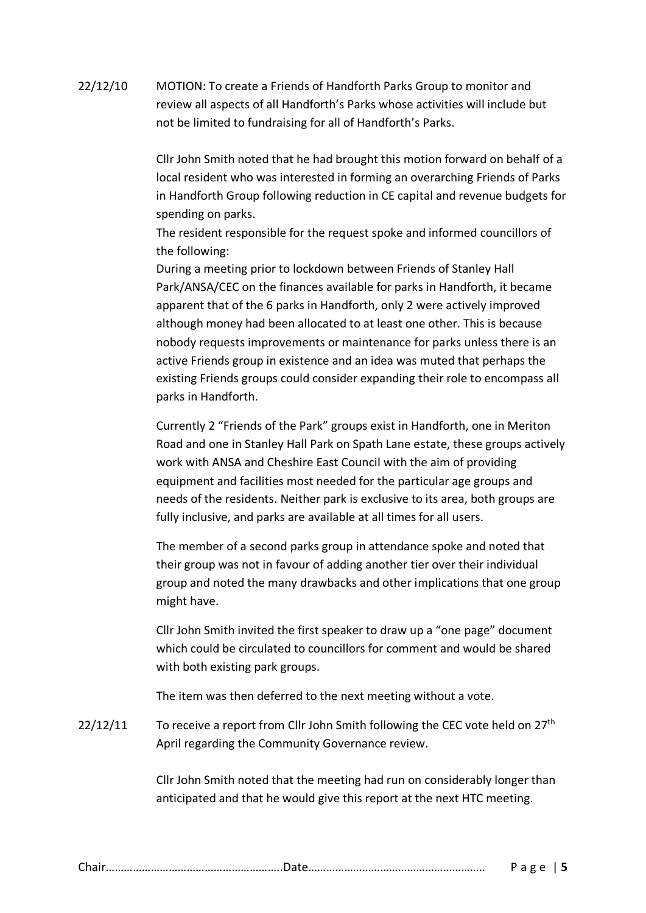22/12/10 MOTION: To create a Friends of Handforth Parks Group to monitor and review all aspects of all Handforth's Parks whose activities will include but not be limited to fundraising for all of Handforth's Parks.

> Cllr John Smith noted that he had brought this motion forward on behalf of a local resident who was interested in forming an overarching Friends of Parks in Handforth Group following reduction in CE capital and revenue budgets for spending on parks.

The resident responsible for the request spoke and informed councillors of the following:

During a meeting prior to lockdown between Friends of Stanley Hall Park/ANSA/CEC on the finances available for parks in Handforth, it became apparent that of the 6 parks in Handforth, only 2 were actively improved although money had been allocated to at least one other. This is because nobody requests improvements or maintenance for parks unless there is an active Friends group in existence and an idea was muted that perhaps the existing Friends groups could consider expanding their role to encompass all parks in Handforth.

Currently 2 "Friends of the Park" groups exist in Handforth, one in Meriton Road and one in Stanley Hall Park on Spath Lane estate, these groups actively work with ANSA and Cheshire East Council with the aim of providing equipment and facilities most needed for the particular age groups and needs of the residents. Neither park is exclusive to its area, both groups are fully inclusive, and parks are available at all times for all users.

The member of a second parks group in attendance spoke and noted that their group was not in favour of adding another tier over their individual group and noted the many drawbacks and other implications that one group might have.

Cllr John Smith invited the first speaker to draw up a "one page" document which could be circulated to councillors for comment and would be shared with both existing park groups.

The item was then deferred to the next meeting without a vote.

 $22/12/11$  To receive a report from Cllr John Smith following the CEC vote held on  $27<sup>th</sup>$ April regarding the Community Governance review.

> Cllr John Smith noted that the meeting had run on considerably longer than anticipated and that he would give this report at the next HTC meeting.

|--|--|--|